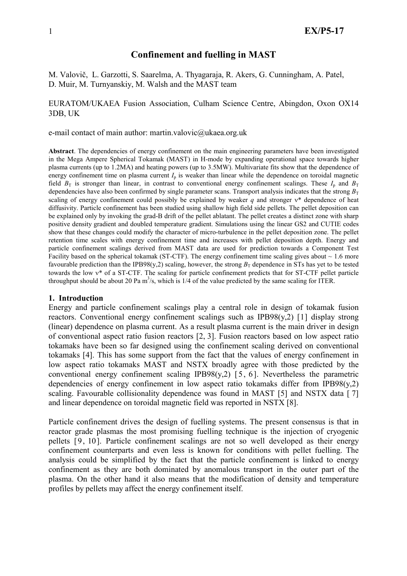# Confinement and fuelling in MAST

M. Valovič, L. Garzotti, S. Saarelma, A. Thyagaraja, R. Akers, G. Cunningham, A. Patel, D. Muir, M. Turnyanskiy, M. Walsh and the MAST team

## EURATOM/UKAEA Fusion Association, Culham Science Centre, Abingdon, Oxon OX14 3DB, UK

e-mail contact of main author: martin.valovic@ukaea.org.uk

Abstract. The dependencies of energy confinement on the main engineering parameters have been investigated in the Mega Ampere Spherical Tokamak (MAST) in H-mode by expanding operational space towards higher plasma currents (up to 1.2MA) and heating powers (up to 3.5MW). Multivariate fits show that the dependence of energy confinement time on plasma current  $I_p$  is weaker than linear while the dependence on toroidal magnetic field  $B_T$  is stronger than linear, in contrast to conventional energy confinement scalings. These  $I_p$  and  $B_T$ dependencies have also been confirmed by single parameter scans. Transport analysis indicates that the strong  $B_T$ scaling of energy confinement could possibly be explained by weaker q and stronger  $v^*$  dependence of heat diffusivity. Particle confinement has been studied using shallow high field side pellets. The pellet deposition can be explained only by invoking the grad-B drift of the pellet ablatant. The pellet creates a distinct zone with sharp positive density gradient and doubled temperature gradient. Simulations using the linear GS2 and CUTIE codes show that these changes could modify the character of micro-turbulence in the pellet deposition zone. The pellet retention time scales with energy confinement time and increases with pellet deposition depth. Energy and particle confinement scalings derived from MAST data are used for prediction towards a Component Test Facility based on the spherical tokamak (ST-CTF). The energy confinement time scaling gives about  $\sim 1.6$  more favourable prediction than the IPB98(y,2) scaling, however, the strong  $B_T$  dependence in STs has yet to be tested towards the low ν\* of a ST-CTF. The scaling for particle confinement predicts that for ST-CTF pellet particle throughput should be about 20 Pa  $m^3/s$ , which is 1/4 of the value predicted by the same scaling for ITER.

## 1. Introduction

Energy and particle confinement scalings play a central role in design of tokamak fusion reactors. Conventional energy confinement scalings such as IPB98(y,2) [1] display strong (linear) dependence on plasma current. As a result plasma current is the main driver in design of conventional aspect ratio fusion reactors [2, 3]. Fusion reactors based on low aspect ratio tokamaks have been so far designed using the confinement scaling derived on conventional tokamaks [4]. This has some support from the fact that the values of energy confinement in low aspect ratio tokamaks MAST and NSTX broadly agree with those predicted by the conventional energy confinement scaling IPB98(y,2)  $[5, 6]$ . Nevertheless the parametric dependencies of energy confinement in low aspect ratio tokamaks differ from  $IPB98(y,2)$ scaling. Favourable collisionality dependence was found in MAST [5] and NSTX data [7] and linear dependence on toroidal magnetic field was reported in NSTX [8].

Particle confinement drives the design of fuelling systems. The present consensus is that in reactor grade plasmas the most promising fuelling technique is the injection of cryogenic pellets [9, 10]. Particle confinement scalings are not so well developed as their energy confinement counterparts and even less is known for conditions with pellet fuelling. The analysis could be simplified by the fact that the particle confinement is linked to energy confinement as they are both dominated by anomalous transport in the outer part of the plasma. On the other hand it also means that the modification of density and temperature profiles by pellets may affect the energy confinement itself.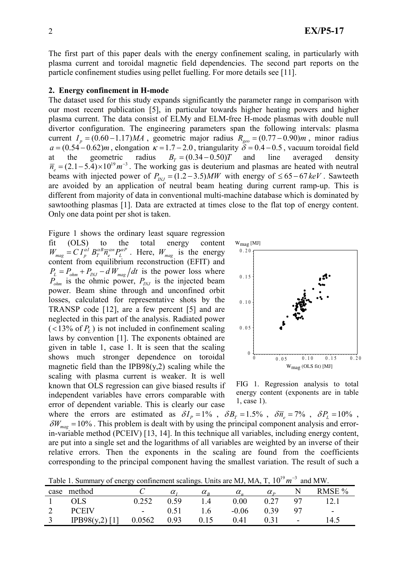The first part of this paper deals with the energy confinement scaling, in particularly with plasma current and toroidal magnetic field dependencies. The second part reports on the particle confinement studies using pellet fuelling. For more details see [11].

#### 2. Energy confinement in H-mode

The dataset used for this study expands significantly the parameter range in comparison with our most recent publication [5], in particular towards higher heating powers and higher plasma current. The data consist of ELMy and ELM-free H-mode plasmas with double null divertor configuration. The engineering parameters span the following intervals: plasma current  $I_p = (0.60 - 1.17)MA$ , geometric major radius  $R_{geo} = (0.77 - 0.90)m$ , minor radius  $a = (0.54 - 0.62)m$ , elongation  $\kappa = 1.7 - 2.0$ , triangularity  $\delta = 0.4 - 0.5$ , vacuum toroidal field at the geometric radius  $B_T = (0.34 - 0.50)T$  and line averaged density  $\overline{n}_e = (2.1 - 5.4) \times 10^{19} m^{-3}$ . The working gas is deuterium and plasmas are heated with neutral beams with injected power of  $P_{N} = (1.2 - 3.5) MW$  with energy of  $\le 65 - 67 \text{ keV}$ . Sawteeth are avoided by an application of neutral beam heating during current ramp-up. This is different from majority of data in conventional multi-machine database which is dominated by sawtoothing plasmas [1]. Data are extracted at times close to the flat top of energy content. Only one data point per shot is taken.

Figure 1 shows the ordinary least square regression fit (OLS) to the total energy content  $W_{mag} = C I_p^{\alpha l} B_T^{\alpha B} \overline{n}_e^{\alpha n} P_L^{\alpha P}$ . Here,  $W_{mag}$  is the energy content from equilibrium reconstruction (EFIT) and  $P_{L} = P_{ohm} + P_{INJ} - dW_{mag} / dt$  is the power loss where  $P_{ohm}$  is the ohmic power,  $P_{INJ}$  is the injected beam power. Beam shine through and unconfined orbit losses, calculated for representative shots by the TRANSP code [12], are a few percent [5] and are neglected in this part of the analysis. Radiated power  $(<13\% \text{ of } P_L$ ) is not included in confinement scaling laws by convention [1]. The exponents obtained are given in table 1, case 1. It is seen that the scaling shows much stronger dependence on toroidal magnetic field than the  $IPB98(y,2)$  scaling while the scaling with plasma current is weaker. It is well known that OLS regression can give biased results if independent variables have errors comparable with error of dependent variable. This is clearly our case



FIG 1. Regression analysis to total energy content (exponents are in table 1, case 1).

where the errors are estimated as  $\delta I_p = 1\%$ ,  $\delta B_r = 1.5\%$ ,  $\delta \overline{n}_e = 7\%$ ,  $\delta P_t = 10\%$ ,  $\delta W_{\text{mag}} = 10\%$ . This problem is dealt with by using the principal component analysis and errorin-variable method (PCEIV) [13, 14]. In this technique all variables, including energy content, are put into a single set and the logarithms of all variables are weighted by an inverse of their relative errors. Then the exponents in the scaling are found from the coefficients corresponding to the principal component having the smallest variation. The result of such a

| Table 1. Summary of energy confinement scalings. Units are MJ, MA, T, $10^{19} m^{-3}$ and MW. |  |
|------------------------------------------------------------------------------------------------|--|
|------------------------------------------------------------------------------------------------|--|

| case | method         |                          | $\alpha$ , | $\alpha_{\rm n}$ | $\alpha$ . | $\alpha_{\rm n}$ |                          | RMSE % |
|------|----------------|--------------------------|------------|------------------|------------|------------------|--------------------------|--------|
|      | OLS.           | 0.252                    | 0.59       | $\overline{4}$   | 0.00       | 0.27             |                          |        |
|      | <b>PCEIV</b>   | $\overline{\phantom{a}}$ | $0.51\,$   | $\cdot$          | $-0.06$    | 0.39             |                          | $\sim$ |
|      | IPB98(y,2) [1] | 0.0562                   | 0.93       | 0.15             | 0.41       |                  | $\overline{\phantom{0}}$ | .4.5   |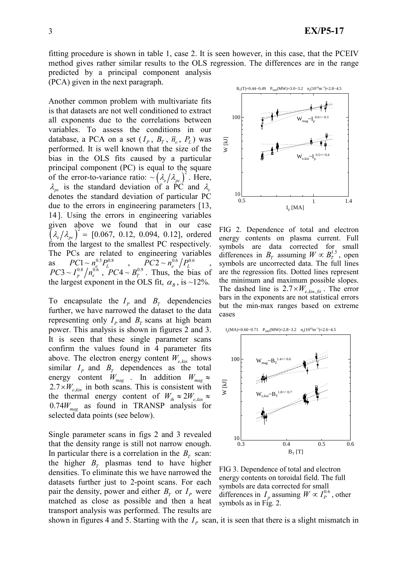fitting procedure is shown in table 1, case 2. It is seen however, in this case, that the PCEIV method gives rather similar results to the OLS regression. The differences are in the range predicted by a principal component analysis

(PCA) given in the next paragraph.

Another common problem with multivariate fits is that datasets are not well conditioned to extract all exponents due to the correlations between variables. To assess the conditions in our database, a PCA on a set  $(I_p, B_T, \overline{n}_e, P_L)$  was performed. It is well known that the size of the bias in the OLS fits caused by a particular principal component (PC) is equal to the square of the error-to-variance ratio:  $\sim (\lambda_e/\lambda_{pc})^2$ . Here,  $\lambda_{pc}$  is the standard deviation of a PC and  $\lambda_e$ denotes the standard deviation of particular PC due to the errors in engineering parameters [13, 14]. Using the errors in engineering variables given above we found that in our case  $\left(\lambda_e/\lambda_{pc}\right)^2 = [0.067, 0.12, 0.094, 0.12],$  ordered from the largest to the smallest PC respectively. The PCs are related to engineering variables as  $PC1 \sim n_e^{0.5} P_L^{0.8}$ ,  $PC2 \sim n_e^{0.6} / P_L^{0.6}$ ,  $PC3 \sim I_p^{0.8} / n_e^{0.6}$ ,  $PC4 \sim B_T^{0.9}$ . Thus, the bias of the largest exponent in the OLS fit,  $\alpha_B$ , is ~12%.

To encapsulate the  $I_p$  and  $B<sub>T</sub>$  dependencies further, we have narrowed the dataset to the data representing only  $I<sub>P</sub>$  and  $B<sub>T</sub>$  scans at high beam power. This analysis is shown in figures 2 and 3. It is seen that these single parameter scans confirm the values found in 4 parameter fits above. The electron energy content  $W_{e,kin}$  shows similar  $I_p$  and  $B_T$  dependences as the total energy content  $W_{mag}$  . In addition  $W_{mag} \approx$  $2.7 \times W_{e,kin}$  in both scans. This is consistent with the thermal energy content of  $W_{th} \approx 2W_{e,kin} \approx$  $0.74W_{mag}$  as found in TRANSP analysis for selected data points (see below).

Single parameter scans in figs 2 and 3 revealed that the density range is still not narrow enough. In particular there is a correlation in the  $B<sub>T</sub>$  scan: the higher  $B_T$  plasmas tend to have higher densities. To eliminate this we have narrowed the datasets further just to 2-point scans. For each pair the density, power and either  $B_T$  or  $I_P$  were matched as close as possible and then a heat transport analysis was performed. The results are



FIG 2. Dependence of total and electron energy contents on plasma current. Full symbols are data corrected for small differences in  $B_T$  assuming  $W \propto B_T^{1.5}$ , open symbols are uncorrected data. The full lines are the regression fits. Dotted lines represent the minimum and maximum possible slopes. The dashed line is  $2.7 \times W_{e,kin,fit}$ . The error bars in the exponents are not statistical errors but the min-max ranges based on extreme cases



FIG 3. Dependence of total and electron energy contents on toroidal field. The full symbols are data corrected for small differences in  $I_p$  assuming  $W \propto I_p^{0.6}$ , other symbols as in Fig. 2.

shown in figures 4 and 5. Starting with the  $I<sub>p</sub>$  scan, it is seen that there is a slight mismatch in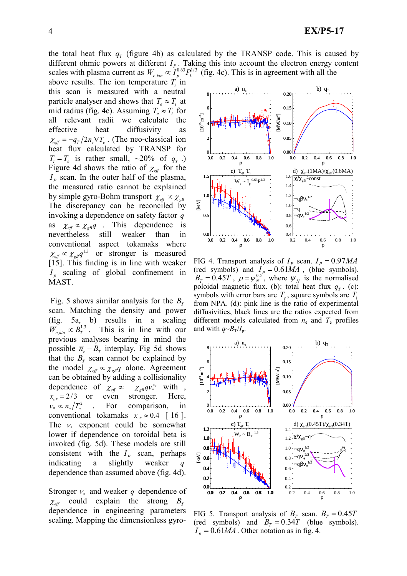above results. The ion temperature  $T_i$  in this scan is measured with a neutral particle analyser and shows that  $T_a \approx T_a$  at mid radius (fig. 4c). Assuming  $T_e \approx T_i$  for all relevant radii we calculate the effective heat diffusivity as  $\chi_{\text{eff}} = -q_{\text{T}}/2 n_e \nabla T_e$ . (The neo-classical ion heat flux calculated by TRANSP for  $T_i = T_e$  is rather small, ~20% of  $q_T$ .) Figure 4d shows the ratio of  $\chi_{\text{eff}}$  for the  $I<sub>P</sub>$  scan. In the outer half of the plasma, the measured ratio cannot be explained by simple gyro-Bohm transport  $\chi_{\text{eff}} \propto \chi_{\text{gB}}$ The discrepancy can be reconciled by invoking a dependence on safety factor q as  $\chi_{\text{eff}} \propto \chi_{\text{gB}} q$ . This dependence is nevertheless still weaker than in conventional aspect tokamaks where  $\chi_{\text{eff}} \propto \chi_{\text{gB}} q^{1.5}$  or stronger is measured [15]. This finding is in line with weaker  $I_p$  scaling of global confinement in MAST.

Fig. 5 shows similar analysis for the  $B_T$ scan. Matching the density and power (fig. 5a, b) results in a scaling  $W_{e \sin \alpha} \propto B_{\tau}^{1.3}$ . This is in line with our previous analyses bearing in mind the possible  $\overline{n}_e - B_T$  interplay. Fig 5d shows that the  $B_T$  scan cannot be explained by the model  $\chi_{\text{eff}} \propto \chi_{\text{gB}} q$  alone. Agreement can be obtained by adding a collisionality dependence of  $\chi_{\text{eff}} \propto$  $\chi_{g}qv_*^{x_v}$  with,  $x_{v^*} = 2/3$  or even stronger. Here,  $v_* \propto n_e / T_e^2$  . For comparison, in conventional tokamaks  $x_{v^*} \approx 0.4$  [ 16 ]. The  $v_*$  exponent could be somewhat lower if dependence on toroidal beta is invoked (fig. 5d). These models are still consistent with the  $I<sub>p</sub>$  scan, perhaps indicating a slightly weaker  $q$ dependence than assumed above (fig. 4d).

Stronger  $v_*$  and weaker q dependence of  $\chi_{\text{eff}}$  could explain the strong  $B_T$ dependence in engineering parameters scaling. Mapping the dimensionless gyro-

the total heat flux  $q_T$  (figure 4b) as calculated by the TRANSP code. This is caused by different ohmic powers at different  $I_{P}$ . Taking this into account the electron energy content scales with plasma current as  $W_{e,kin} \propto I_p^{0.63} P_L^{1/3}$  (fig. 4c). This is in agreement with all the



FIG 4. Transport analysis of  $I_p$  scan.  $I_p = 0.97 MA$ (red symbols) and  $I_P = 0.61 MA$ , (blue symbols).  $B_T = 0.45T$ ,  $\rho = \psi_N^{0.5}$ , where  $\psi_N$  is the normalised poloidal magnetic flux. (b): total heat flux  $q_T$ . (c): symbols with error bars are  $T_e$ , square symbols are  $T_i$ from NPA. (d): pink line is the ratio of experimental diffusivities, black lines are the ratios expected from different models calculated from  $n_e$  and  $T_e$  profiles and with  $q \sim B_T/I_p$ .



FIG 5. Transport analysis of  $B_T$  scan.  $B_T = 0.45T$ (red symbols) and  $B<sub>T</sub> = 0.34T$  (blue symbols).  $I_n = 0.61 MA$ . Other notation as in fig. 4.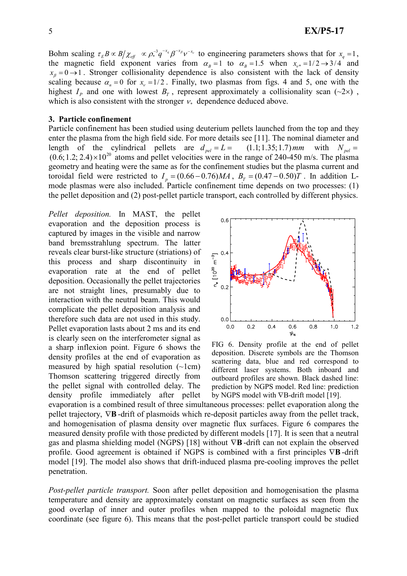Bohm scaling  $\tau_E B \propto B/\chi_{\text{eff}} \propto \rho_*^{-3} q^{-x_q} \beta^{-x_{\beta}} v^{-x_{\gamma}}$  to engineering parameters shows that for  $x_q = 1$ , the magnetic field exponent varies from  $\alpha_B = 1$  to  $\alpha_B = 1.5$  when  $x_{\nu^*} = 1/2 \rightarrow 3/4$  and  $x_{\beta} = 0 \rightarrow 1$ . Stronger collisionality dependence is also consistent with the lack of density scaling because  $\alpha_n = 0$  for  $x_v = 1/2$ . Finally, two plasmas from figs. 4 and 5, one with the highest  $I_p$  and one with lowest  $B<sub>T</sub>$ , represent approximately a collisionality scan (~2×), which is also consistent with the stronger  $v_*$  dependence deduced above.

## 3. Particle confinement

Particle confinement has been studied using deuterium pellets launched from the top and they enter the plasma from the high field side. For more details see [11]. The nominal diameter and length of the cylindrical pellets are  $d_{rel} = L = (1.1; 1.35; 1.7)$  mm with  $N_{rel} =$  $(0.6; 1.2; 2.4) \times 10^{20}$  atoms and pellet velocities were in the range of 240-450 m/s. The plasma geometry and heating were the same as for the confinement studies but the plasma current and toroidal field were restricted to  $I_p = (0.66 - 0.76)MA$ ,  $B_T = (0.47 - 0.50)T$ . In addition Lmode plasmas were also included. Particle confinement time depends on two processes: (1) the pellet deposition and (2) post-pellet particle transport, each controlled by different physics.

Pellet deposition. In MAST, the pellet evaporation and the deposition process is captured by images in the visible and narrow band bremsstrahlung spectrum. The latter reveals clear burst-like structure (striations) of this process and sharp discontinuity in evaporation rate at the end of pellet deposition. Occasionally the pellet trajectories are not straight lines, presumably due to interaction with the neutral beam. This would complicate the pellet deposition analysis and therefore such data are not used in this study. Pellet evaporation lasts about 2 ms and its end is clearly seen on the interferometer signal as a sharp inflexion point. Figure 6 shows the density profiles at the end of evaporation as measured by high spatial resolution  $(\sim 1 \text{ cm})$ Thomson scattering triggered directly from the pellet signal with controlled delay. The density profile immediately after pellet



FIG 6. Density profile at the end of pellet deposition. Discrete symbols are the Thomson scattering data, blue and red correspond to different laser systems. Both inboard and outboard profiles are shown. Black dashed line: prediction by NGPS model. Red line: prediction by NGPS model with ∇B-drift model [19].

evaporation is a combined result of three simultaneous processes: pellet evaporation along the pellet trajectory,  $∇$ **B** -drift of plasmoids which re-deposit particles away from the pellet track, and homogenisation of plasma density over magnetic flux surfaces. Figure 6 compares the measured density profile with those predicted by different models [17]. It is seen that a neutral gas and plasma shielding model (NGPS) [18] without ∇B -drift can not explain the observed profile. Good agreement is obtained if NGPS is combined with a first principles ∇B -drift model [19]. The model also shows that drift-induced plasma pre-cooling improves the pellet penetration.

Post-pellet particle transport. Soon after pellet deposition and homogenisation the plasma temperature and density are approximately constant on magnetic surfaces as seen from the good overlap of inner and outer profiles when mapped to the poloidal magnetic flux coordinate (see figure 6). This means that the post-pellet particle transport could be studied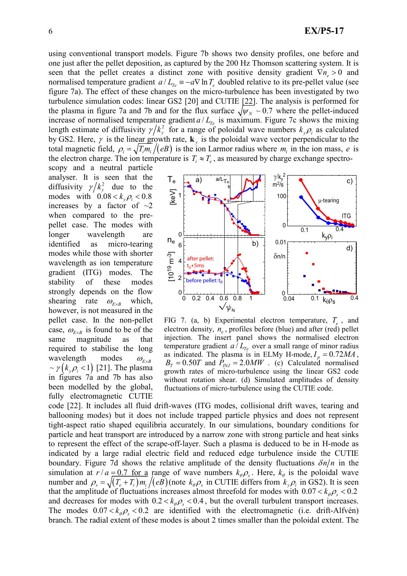using conventional transport models. Figure 7b shows two density profiles, one before and one just after the pellet deposition, as captured by the 200 Hz Thomson scattering system. It is seen that the pellet creates a distinct zone with positive density gradient  $\nabla n_e > 0$  and normalised temperature gradient  $a / L_{T_e} = -a \nabla \ln T_e$  doubled relative to its pre-pellet value (see figure 7a). The effect of these changes on the micro-turbulence has been investigated by two turbulence simulation codes: linear GS2 [20] and CUTIE [22]. The analysis is performed for the plasma in figure 7a and 7b and for the flux surface  $\sqrt{\psi_N} \sim 0.7$  where the pellet-induced increase of normalised temperature gradient  $a/L_{Te}$  is maximum. Figure 7c shows the mixing length estimate of diffusivity  $\gamma / k_y^2$  for a range of poloidal wave numbers  $k_y \rho_i$  as calculated by GS2. Here,  $\gamma$  is the linear growth rate,  $\mathbf{k}_{y}$  is the poloidal wave vector perpendicular to the total magnetic field,  $\rho_i = \sqrt{T_i m_i}/(eB)$  is the ion Larmor radius where  $m_i$  in the ion mass, e is the electron charge. The ion temperature is  $T_i \approx T_e$ , as measured by charge exchange spectro-

scopy and a neutral particle analyser. It is seen that the diffusivity  $\gamma / k_y^2$  due to the modes with  $0.08 < k_{\nu} \rho_{i} < 0.8$ increases by a factor of  $\sim$ 2 when compared to the prepellet case. The modes with longer wavelength are identified as micro-tearing modes while those with shorter wavelength as ion temperature gradient (ITG) modes. The stability of these modes strongly depends on the flow shearing rate  $\omega_{E \times B}$  which, however, is not measured in the pellet case. In the non-pellet case,  $\omega_{E \times B}$  is found to be of the same magnitude as that required to stabilise the long wavelength modes  $\omega_{E \times B}$  $\sim \gamma (k_{y} \rho_{i} < 1)$  [21]. The plasma in figures 7a and 7b has also been modelled by the global, fully electromagnetic CUTIE



FIG 7. (a, b) Experimental electron temperature,  $T_e$ , and electron density,  $n_e$ , profiles before (blue) and after (red) pellet injection. The insert panel shows the normalised electron temperature gradient  $a/L_{Te}$  over a small range of minor radius as indicated. The plasma is in ELMy H-mode,  $I_p = 0.72 MA$ ,  $B<sub>T</sub> = 0.50T$  and  $\bar{P}_{\text{int}} = 2.0MW$ . (c) Calculated normalised growth rates of micro-turbulence using the linear GS2 code without rotation shear. (d) Simulated amplitudes of density fluctuations of micro-turbulence using the CUTIE code.

code [22]. It includes all fluid drift-waves (ITG modes, collisional drift waves, tearing and ballooning modes) but it does not include trapped particle physics and does not represent tight-aspect ratio shaped equilibria accurately. In our simulations, boundary conditions for particle and heat transport are introduced by a narrow zone with strong particle and heat sinks to represent the effect of the scrape-off-layer. Such a plasma is deduced to be in H-mode as indicated by a large radial electric field and reduced edge turbulence inside the CUTIE boundary. Figure 7d shows the relative amplitude of the density fluctuations  $\delta n/n$  in the simulation at  $r/a = 0.7$  for a range of wave numbers  $k_{\theta} \rho_s$ . Here,  $k_{\theta}$  is the poloidal wave number and  $\rho_s = \sqrt{(T_e + T_i) m_i / (eB)}$  (note  $k_{\theta} \rho_s$  in CUTIE differs from  $k_y \rho_i$  in GS2). It is seen that the amplitude of fluctuations increases almost threefold for modes with  $0.07 < k_{\theta} \rho_s < 0.2$ and decreases for modes with  $0.2 < k_{\theta} \rho_s < 0.4$ , but the overall turbulent transport increases. The modes  $0.07 < k_{\theta} \rho_s < 0.2$  are identified with the electromagnetic (i.e. drift-Alfvén) branch. The radial extent of these modes is about 2 times smaller than the poloidal extent. The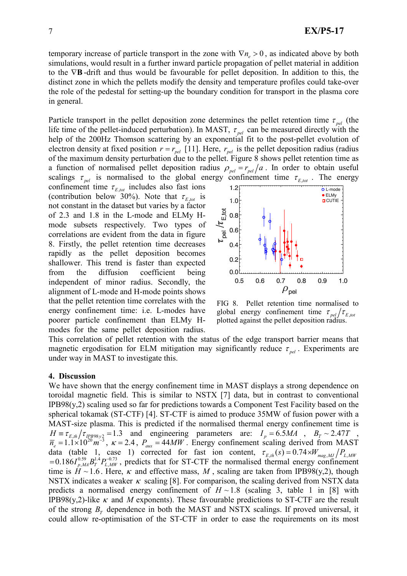temporary increase of particle transport in the zone with  $\nabla n_e > 0$ , as indicated above by both simulations, would result in a further inward particle propagation of pellet material in addition to the ∇B-drift and thus would be favourable for pellet deposition. In addition to this, the distinct zone in which the pellets modify the density and temperature profiles could take-over the role of the pedestal for setting-up the boundary condition for transport in the plasma core in general.

Particle transport in the pellet deposition zone determines the pellet retention time  $\tau_{rel}$  (the life time of the pellet-induced perturbation). In MAST,  $\tau_{pel}$  can be measured directly with the help of the 200Hz Thomson scattering by an exponential fit to the post-pellet evolution of electron density at fixed position  $r = r_{\text{pel}}$  [11]. Here,  $r_{\text{pel}}$  is the pellet deposition radius (radius of the maximum density perturbation due to the pellet. Figure 8 shows pellet retention time as a function of normalised pellet deposition radius  $\rho_{pel} = r_{pel}/a$ . In order to obtain useful scalings  $\tau_{pel}$  is normalised to the global energy confinement time  $\tau_{E, tot}$ . The energy

confinement time  $\tau_{E,tot}$  includes also fast ions (contribution below 30%). Note that  $\tau_{E,tot}$  is not constant in the dataset but varies by a factor of 2.3 and 1.8 in the L-mode and ELMy Hmode subsets respectively. Two types of correlations are evident from the data in figure 8. Firstly, the pellet retention time decreases rapidly as the pellet deposition becomes shallower. This trend is faster than expected from the diffusion coefficient being independent of minor radius. Secondly, the alignment of L-mode and H-mode points shows that the pellet retention time correlates with the energy confinement time: i.e. L-modes have poorer particle confinement than ELMy Hmodes for the same pellet deposition radius.



FIG 8. Pellet retention time normalised to global energy confinement time  $\tau_{pel}/\tau_{E,tot}$ plotted against the pellet deposition radius.

This correlation of pellet retention with the status of the edge transport barrier means that magnetic ergodisation for ELM mitigation may significantly reduce  $\tau_{net}$ . Experiments are under way in MAST to investigate this.

## 4. Discussion

We have shown that the energy confinement time in MAST displays a strong dependence on toroidal magnetic field. This is similar to NSTX [7] data, but in contrast to conventional  $IPB98(y,2)$  scaling used so far for predictions towards a Component Test Facility based on the spherical tokamak (ST-CTF) [4]. ST-CTF is aimed to produce 35MW of fusion power with a MAST-size plasma. This is predicted if the normalised thermal energy confinement time is  $H \equiv \tau_{E,th}/\tau_{IPB98y2} = 1.3$  and engineering parameters are:  $I_p = 6.5 MA$ ,  $B_T \sim 2.47T$ ,  $\overline{n}_e = 1.1 \times 10^{20} \text{ m}^{-3}$ ,  $\kappa = 2.4$ ,  $P_{\text{aux}} = 44MW$ . Energy confinement scaling derived from MAST data (table 1, case 1) corrected for fast ion content,  $\tau_{E,th}(s) = 0.74 \times W_{mag,MJ}/P_{L,MW}$  $= 0.186 I_{p,M}^{0.59} B_T^{1.4} P_{L,MW}^{-0.73}$ , predicts that for ST-CTF the normalised thermal energy confinement time is  $H \sim 1.6$ . Here,  $\kappa$  and effective mass, M, scaling are taken from IPB98(y,2), though NSTX indicates a weaker  $\kappa$  scaling [8]. For comparison, the scaling derived from NSTX data predicts a normalised energy confinement of  $H \sim 1.8$  (scaling 3, table 1 in [8] with IPB98(y,2)-like  $\kappa$  and M exponents). These favourable predictions to ST-CTF are the result of the strong  $B_T$  dependence in both the MAST and NSTX scalings. If proved universal, it could allow re-optimisation of the ST-CTF in order to ease the requirements on its most